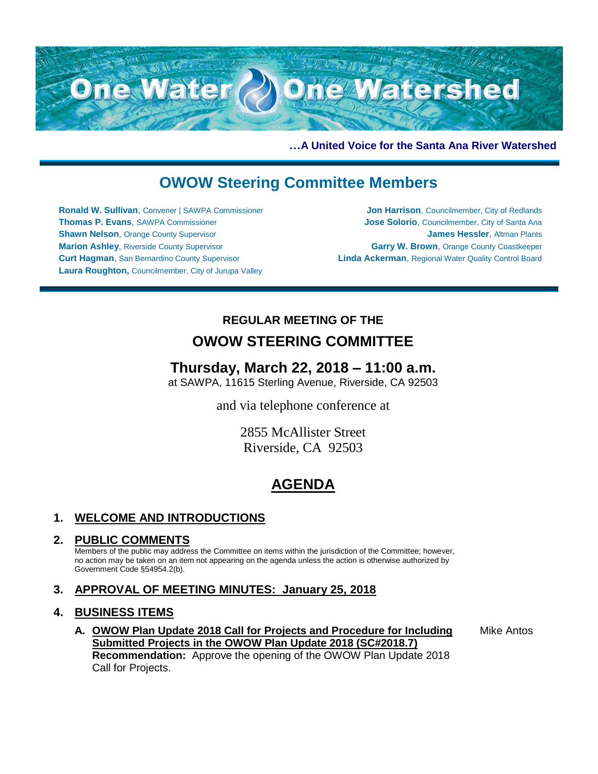

**…A United Voice for the Santa Ana River Watershed**

# **OWOW Steering Committee Members**

**Ronald W. Sullivan**, Convener | SAWPA Commissioner **Thomas P. Evans**, SAWPA Commissioner **Shawn Nelson, Orange County Supervisor Marion Ashley**, Riverside County Supervisor **Curt Hagman**, San Bernardino County Supervisor **Laura Roughton,** Councilmember, City of Jurupa Valley

**Jon Harrison**, Councilmember, City of Redlands **Jose Solorio**, Councilmember, City of Santa Ana **James Hessler**, Altman Plants **Garry W. Brown**, Orange County Coastkeeper **Linda Ackerman**, Regional Water Quality Control Board

### **REGULAR MEETING OF THE**

## **OWOW STEERING COMMITTEE**

## **Thursday, March 22, 2018 – 11:00 a.m.**

at SAWPA, 11615 Sterling Avenue, Riverside, CA 92503

and via telephone conference at

2855 McAllister Street Riverside, CA 92503

# **AGENDA**

### **1. WELCOME AND INTRODUCTIONS**

### **2. PUBLIC COMMENTS**

Members of the public may address the Committee on items within the jurisdiction of the Committee; however, no action may be taken on an item not appearing on the agenda unless the action is otherwise authorized by Government Code §54954.2(b).

### **3. APPROVAL OF MEETING MINUTES: January 25, 2018**

### **4. BUSINESS ITEMS**

**A. OWOW Plan Update 2018 Call for Projects and Procedure for Including Submitted Projects in the OWOW Plan Update 2018 (SC#2018.7) Recommendation:** Approve the opening of the OWOW Plan Update 2018 Call for Projects.

Mike Antos